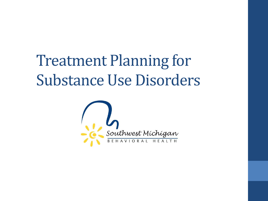### Treatment Planning for Substance Use Disorders

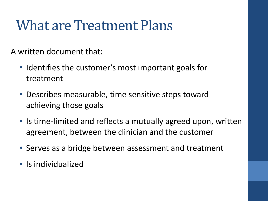#### What are Treatment Plans

A written document that:

- Identifies the customer's most important goals for treatment
- Describes measurable, time sensitive steps toward achieving those goals
- Is time-limited and reflects a mutually agreed upon, written agreement, between the clinician and the customer
- Serves as a bridge between assessment and treatment
- Is individualized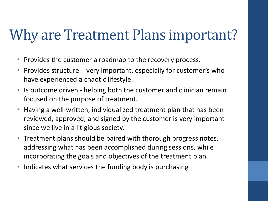#### Why are Treatment Plans important?

- Provides the customer a roadmap to the recovery process.
- Provides structure very important, especially for customer's who have experienced a chaotic lifestyle.
- Is outcome driven helping both the customer and clinician remain focused on the purpose of treatment.
- Having a well-written, individualized treatment plan that has been reviewed, approved, and signed by the customer is very important since we live in a litigious society.
- Treatment plans should be paired with thorough progress notes, addressing what has been accomplished during sessions, while incorporating the goals and objectives of the treatment plan.
- Indicates what services the funding body is purchasing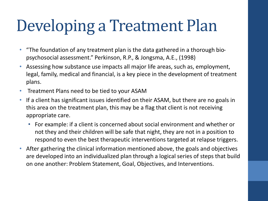## Developing a Treatment Plan

- "The foundation of any treatment plan is the data gathered in a thorough biopsychosocial assessment." Perkinson, R.P., & Jongsma, A.E., (1998)
- Assessing how substance use impacts all major life areas, such as, employment, legal, family, medical and financial, is a key piece in the development of treatment plans.
- Treatment Plans need to be tied to your ASAM
- If a client has significant issues identified on their ASAM, but there are no goals in this area on the treatment plan, this may be a flag that client is not receiving appropriate care.
	- For example: if a client is concerned about social environment and whether or not they and their children will be safe that night, they are not in a position to respond to even the best therapeutic interventions targeted at relapse triggers.
- After gathering the clinical information mentioned above, the goals and objectives are developed into an individualized plan through a logical series of steps that build on one another: Problem Statement, Goal, Objectives, and Interventions.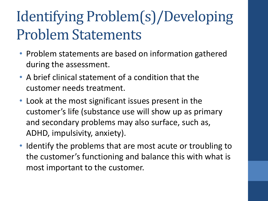### Identifying Problem(s)/Developing Problem Statements

- Problem statements are based on information gathered during the assessment.
- A brief clinical statement of a condition that the customer needs treatment.
- Look at the most significant issues present in the customer's life (substance use will show up as primary and secondary problems may also surface, such as, ADHD, impulsivity, anxiety).
- Identify the problems that are most acute or troubling to the customer's functioning and balance this with what is most important to the customer.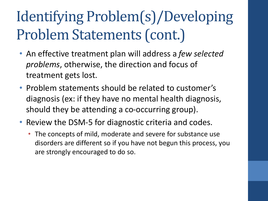### Identifying Problem(s)/Developing Problem Statements (cont.)

- An effective treatment plan will address a *few selected problems*, otherwise, the direction and focus of treatment gets lost.
- Problem statements should be related to customer's diagnosis (ex: if they have no mental health diagnosis, should they be attending a co-occurring group).
- Review the DSM-5 for diagnostic criteria and codes.
	- The concepts of mild, moderate and severe for substance use disorders are different so if you have not begun this process, you are strongly encouraged to do so.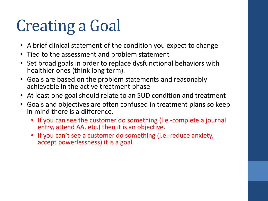# Creating a Goal

- A brief clinical statement of the condition you expect to change
- Tied to the assessment and problem statement
- Set broad goals in order to replace dysfunctional behaviors with healthier ones (think long term).
- Goals are based on the problem statements and reasonably achievable in the active treatment phase
- At least one goal should relate to an SUD condition and treatment
- Goals and objectives are often confused in treatment plans so keep in mind there is a difference.
	- If you can see the customer do something (i.e.-complete a journal entry, attend AA, etc.) then it is an objective.
	- If you can't see a customer do something (i.e.-reduce anxiety, accept powerlessness) it is a goal.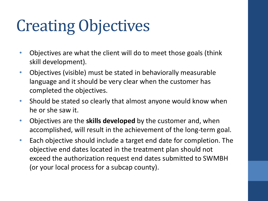# Creating Objectives

- Objectives are what the client will do to meet those goals (think skill development).
- Objectives (visible) must be stated in behaviorally measurable language and it should be very clear when the customer has completed the objectives.
- Should be stated so clearly that almost anyone would know when he or she saw it.
- Objectives are the **skills developed** by the customer and, when accomplished, will result in the achievement of the long-term goal.
- Each objective should include a target end date for completion. The objective end dates located in the treatment plan should not exceed the authorization request end dates submitted to SWMBH (or your local process for a subcap county).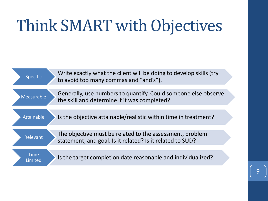## Think SMART with Objectives

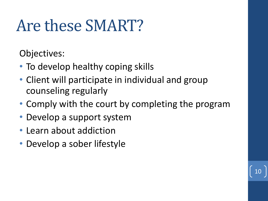## Are these SMART?

Objectives:

- To develop healthy coping skills
- Client will participate in individual and group counseling regularly
- Comply with the court by completing the program

10

- Develop a support system
- Learn about addiction
- Develop a sober lifestyle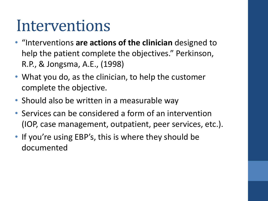### Interventions

- "Interventions **are actions of the clinician** designed to help the patient complete the objectives." Perkinson, R.P., & Jongsma, A.E., (1998)
- What you do, as the clinician, to help the customer complete the objective.
- Should also be written in a measurable way
- Services can be considered a form of an intervention (IOP, case management, outpatient, peer services, etc.).
- If you're using EBP's, this is where they should be documented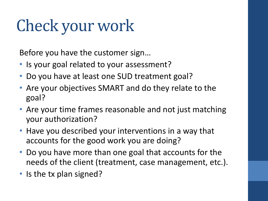## Check your work

Before you have the customer sign…

- Is your goal related to your assessment?
- Do you have at least one SUD treatment goal?
- Are your objectives SMART and do they relate to the goal?
- Are your time frames reasonable and not just matching your authorization?
- Have you described your interventions in a way that accounts for the good work you are doing?
- Do you have more than one goal that accounts for the needs of the client (treatment, case management, etc.).
- Is the tx plan signed?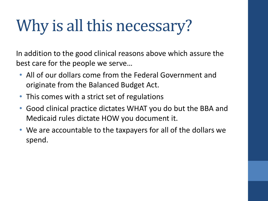# Why is all this necessary?

In addition to the good clinical reasons above which assure the best care for the people we serve…

- All of our dollars come from the Federal Government and originate from the Balanced Budget Act.
- This comes with a strict set of regulations
- Good clinical practice dictates WHAT you do but the BBA and Medicaid rules dictate HOW you document it.
- We are accountable to the taxpayers for all of the dollars we spend.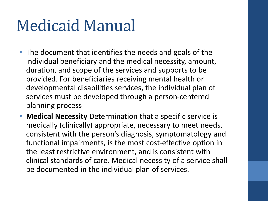### Medicaid Manual

- The document that identifies the needs and goals of the individual beneficiary and the medical necessity, amount, duration, and scope of the services and supports to be provided. For beneficiaries receiving mental health or developmental disabilities services, the individual plan of services must be developed through a person-centered planning process
- **Medical Necessity** Determination that a specific service is medically (clinically) appropriate, necessary to meet needs, consistent with the person's diagnosis, symptomatology and functional impairments, is the most cost-effective option in the least restrictive environment, and is consistent with clinical standards of care. Medical necessity of a service shall be documented in the individual plan of services.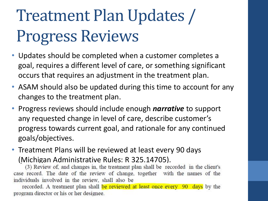# Treatment Plan Updates / Progress Reviews

- Updates should be completed when a customer completes a goal, requires a different level of care, or something significant occurs that requires an adjustment in the treatment plan.
- ASAM should also be updated during this time to account for any changes to the treatment plan.
- Progress reviews should include enough *narrative* to support any requested change in level of care, describe customer's progress towards current goal, and rationale for any continued goals/objectives.
- Treatment Plans will be reviewed at least every 90 days

(Michigan Administrative Rules: R 325.14705).<br>(3) Review of, and changes in, the treatment plan shall be recorded in the client's case record. The date of the review of change, together with the names of the individuals involved in the review, shall also be

recorded. A treatment plan shall be reviewed at least once every 90 days by the program director or his or her designee.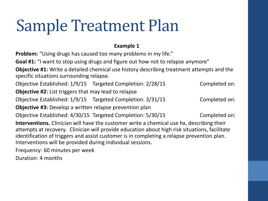## Sample Treatment Plan

#### **Example 1**

**Problem:** "Using drugs has caused too many problems in my life."

Goal #1: "I want to stop using drugs and figure out how not to relapse anymore"

**Objective #1:** Write a detailed chemical use history describing treatment attempts and the specific situations surrounding relapse.

Objective Established: 1/9/15 Targeted Completion: 2/28/15 Completed on: **Objective #2:** List triggers that may lead to relapse Objective Established: 1/9/15 Targeted Completion: 3/31/15 Completed on: **Objective #3:** Develop a written relapse prevention plan

Objective Established: 4/30/15 Targeted Completion: 5/30/15 Completed on:

**Interventions.** Clinician will have the customer write a chemical use hx, describing their attempts at recovery. Clinician will provide education about high risk situations, facilitate identification of triggers and assist customer is in completing a relapse prevention plan. Interventions will be provided during individual sessions.

Frequency: 60 minutes per week

Duration: 4 months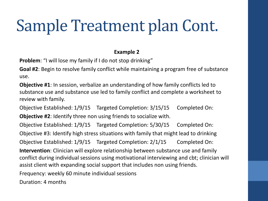## Sample Treatment plan Cont.

#### **Example 2**

**Problem**: "I will lose my family if I do not stop drinking"

**Goal #2**: Begin to resolve family conflict while maintaining a program free of substance use.

**Objective #1**: In session, verbalize an understanding of how family conflicts led to substance use and substance use led to family conflict and complete a worksheet to review with family.

Objective Established: 1/9/15 Targeted Completion: 3/15/15 Completed On: **Objective #2**: Identify three non using friends to socialize with.

Objective Established: 1/9/15 Targeted Completion: 5/30/15 Completed On: Objective #3: Identify high stress situations with family that might lead to drinking Objective Established: 1/9/15 Targeted Completion: 2/1/15 Completed On: **Intervention**: Clinician will explore relationship between substance use and family conflict during individual sessions using motivational interviewing and cbt; clinician will assist client with expanding social support that includes non using friends.

Frequency: weekly 60 minute individual sessions

Duration: 4 months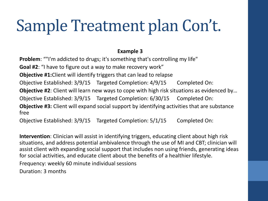## Sample Treatment plan Con't.

#### **Example 3**

**Problem:** ""I'm addicted to drugs; it's something that's controlling my life" **Goal #2**: "I have to figure out a way to make recovery work" **Objective #1:**Client will identify triggers that can lead to relapse Objective Established: 3/9/15 Targeted Completion: 4/9/15 Completed On: **Objective #2**: Client will learn new ways to cope with high risk situations as evidenced by... Objective Established: 3/9/15 Targeted Completion: 6/30/15 Completed On: **Objective #3:** Client will expand social support by identifying activities that are substance free

Objective Established: 3/9/15 Targeted Completion: 5/1/15 Completed On:

**Intervention**: Clinician will assist in identifying triggers, educating client about high risk situations, and address potential ambivalence through the use of MI and CBT; clinician will assist client with expanding social support that includes non using friends, generating ideas for social activities, and educate client about the benefits of a healthier lifestyle.

Frequency: weekly 60 minute individual sessions

Duration: 3 months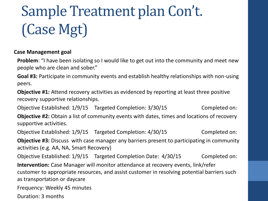## Sample Treatment plan Con't. (Case Mgt)

#### **Case Management goal**

**Problem:** "I have been isolating so I would like to get out into the community and meet new people who are clean and sober."

**Goal #3:** Participate in community events and establish healthy relationships with non-using peers.

**Objective #1:** Attend recovery activities as evidenced by reporting at least three positive recovery supportive relationships.

Objective Established: 1/9/15 Targeted Completion: 3/30/15 Completed on: **Objective #2:** Obtain a list of community events with dates, times and locations of recovery supportive activities.

Objective Established: 1/9/15 Targeted Completion: 4/30/15 Completed on: **Objective #3:** Discuss with case manager any barriers present to participating in community activities (e.g. AA, NA, Smart Recovery)

Objective Established: 1/9/15 Targeted Completion Date: 4/30/15 Completed on: **Intervention:** Case Manager will monitor attendance at recovery events, link/refer customer to appropriate resources, and assist customer in resolving potential barriers such as transportation or daycare

Frequency: Weekly 45 minutes

Duration: 3 months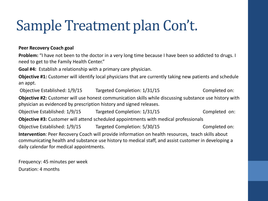#### Sample Treatment plan Con't.

#### **Peer Recovery Coach goal**

**Problem:** "I have not been to the doctor in a very long time because I have been so addicted to drugs. I need to get to the Family Health Center."

**Goal #4:** Establish a relationship with a primary care physician.

**Objective #1:** Customer will identify local physicians that are currently taking new patients and schedule an appt.

Objective Established: 1/9/15 Targeted Completion: 1/31/15 Completed on:

**Objective #2:** Customer will use honest communication skills while discussing substance use history with physician as evidenced by prescription history and signed releases.

Objective Established: 1/9/15 Targeted Completion: 1/31/15 Completed on:

**Objective #3:** Customer will attend scheduled appointments with medical professionals

Objective Established: 1/9/15 Targeted Completion: 5/30/15 Completed on: **Intervention**: Peer Recovery Coach will provide information on health resources, teach skills about communicating health and substance use history to medical staff, and assist customer in developing a daily calendar for medical appointments.

Frequency: 45 minutes per week Duration: 4 months